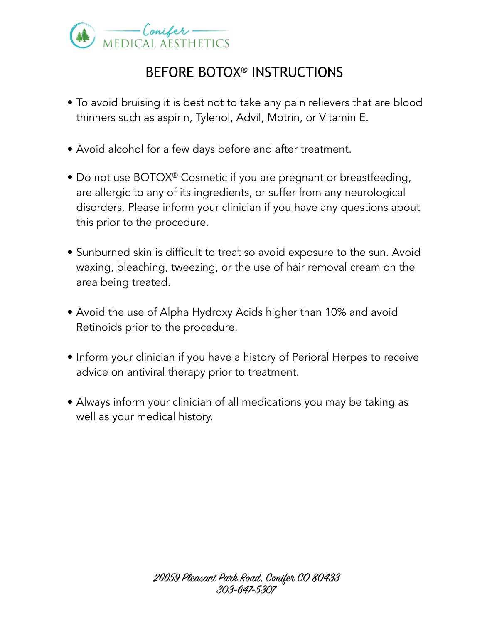

## BEFORE BOTOX® INSTRUCTIONS

- To avoid bruising it is best not to take any pain relievers that are blood thinners such as aspirin, Tylenol, Advil, Motrin, or Vitamin E.
- Avoid alcohol for a few days before and after treatment.
- Do not use BOTOX<sup>®</sup> Cosmetic if you are pregnant or breastfeeding, are allergic to any of its ingredients, or suffer from any neurological disorders. Please inform your clinician if you have any questions about this prior to the procedure.
- Sunburned skin is difficult to treat so avoid exposure to the sun. Avoid waxing, bleaching, tweezing, or the use of hair removal cream on the area being treated.
- Avoid the use of Alpha Hydroxy Acids higher than 10% and avoid Retinoids prior to the procedure.
- Inform your clinician if you have a history of Perioral Herpes to receive advice on antiviral therapy prior to treatment.
- Always inform your clinician of all medications you may be taking as well as your medical history.